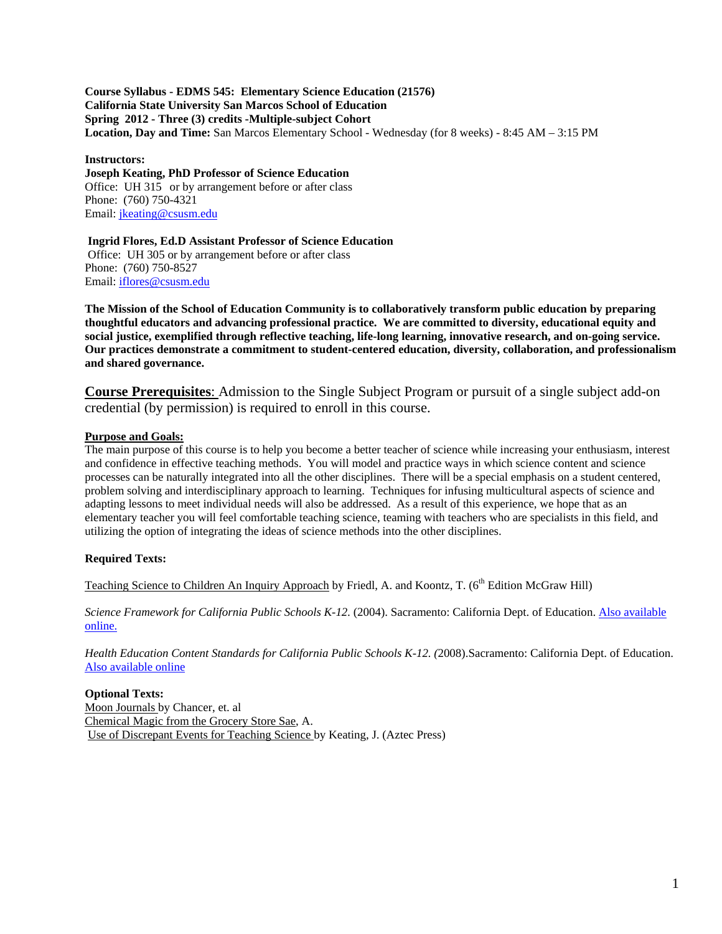**Location, Day and Time:** San Marcos Elementary School - Wednesday (for 8 weeks) - 8:45 AM – 3:15 PM **Course Syllabus - EDMS 545: Elementary Science Education (21576) California State University San Marcos School of Education Spring 2012 - Three (3) credits -Multiple-subject Cohort**

# **Instructors:**

**Joseph Keating, PhD Professor of Science Education** Office: UH 315 or by arrangement before or after class Phone: (760) 750-4321 Email: jkeating@csusm.edu

# **Ingrid Flores, Ed.D Assistant Professor of Science Education**

Office: UH 305 or by arrangement before or after class Phone: (760) 750-8527 Email: iflores@csusm.edu

**The Mission of the School of Education Community is to collaboratively transform public education by preparing thoughtful educators and advancing professional practice. We are committed to diversity, educational equity and social justice, exemplified through reflective teaching, life-long learning, innovative research, and on-going service. Our practices demonstrate a commitment to student-centered education, diversity, collaboration, and professionalism and shared governance.** 

**Course Prerequisites**: Admission to the Single Subject Program or pursuit of a single subject add-on credential (by permission) is required to enroll in this course.

# **Purpose and Goals:**

 adapting lessons to meet individual needs will also be addressed. As a result of this experience, we hope that as an The main purpose of this course is to help you become a better teacher of science while increasing your enthusiasm, interest and confidence in effective teaching methods. You will model and practice ways in which science content and science processes can be naturally integrated into all the other disciplines. There will be a special emphasis on a student centered, problem solving and interdisciplinary approach to learning. Techniques for infusing multicultural aspects of science and elementary teacher you will feel comfortable teaching science, teaming with teachers who are specialists in this field, and utilizing the option of integrating the ideas of science methods into the other disciplines.

# **Required Texts:**

Teaching Science to Children An Inquiry Approach by Friedl, A. and Koontz, T. (6<sup>th</sup> Edition McGraw Hill)

*Science Framework for California Public Schools K-12.* (2004). Sacramento: California Dept. of Education. Also available online.

*Health Education Content Standards for California Public Schools K-12. (*2008).Sacramento: California Dept. of Education. Also available online

**Optional Texts:**  Moon Journals by Chancer, et. al Chemical Magic from the Grocery Store Sae, A. Use of Discrepant Events for Teaching Science by Keating, J. (Aztec Press)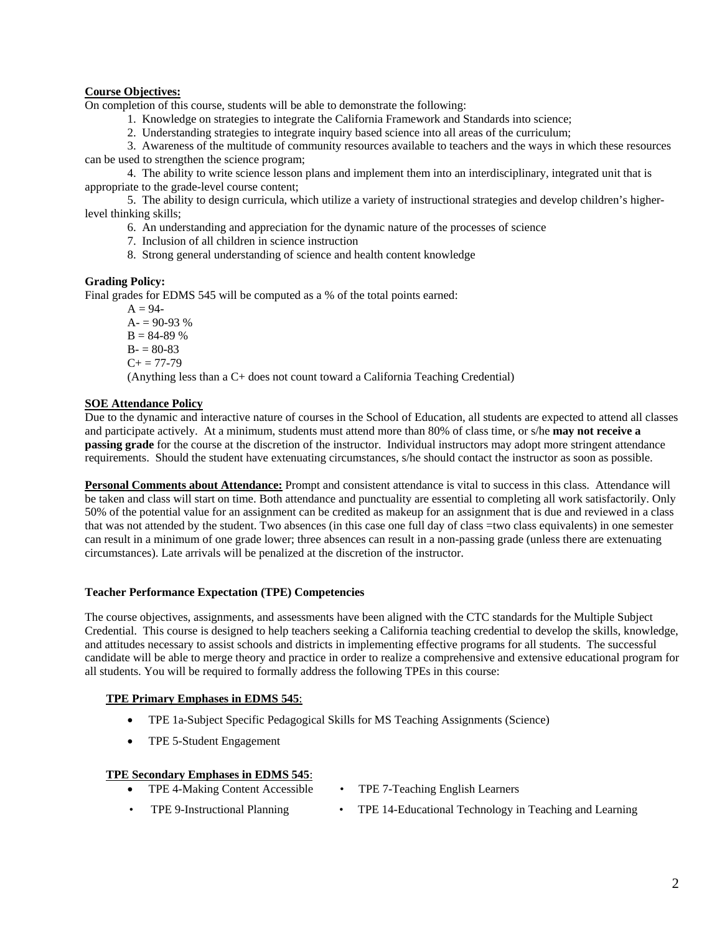# **Course Objectives:**

On completion of this course, students will be able to demonstrate the following:

1. Knowledge on strategies to integrate the California Framework and Standards into science;

2. Understanding strategies to integrate inquiry based science into all areas of the curriculum;

3. Awareness of the multitude of community resources available to teachers and the ways in which these resources can be used to strengthen the science program;

4. The ability to write science lesson plans and implement them into an interdisciplinary, integrated unit that is appropriate to the grade-level course content;

5. The ability to design curricula, which utilize a variety of instructional strategies and develop children's higherlevel thinking skills;

6. An understanding and appreciation for the dynamic nature of the processes of science

- 7. Inclusion of all children in science instruction
- 8. Strong general understanding of science and health content knowledge

# **Grading Policy:**

Final grades for EDMS 545 will be computed as a % of the total points earned:

 $A = 94 A = 90-93\%$  $B = 84-89%$  $B = 80-83$  $C_{+} = 77 - 79$ (Anything less than a C+ does not count toward a California Teaching Credential)

# **SOE Attendance Policy**

Due to the dynamic and interactive nature of courses in the School of Education, all students are expected to attend all classes and participate actively. At a minimum, students must attend more than 80% of class time, or s/he **may not receive a passing grade** for the course at the discretion of the instructor. Individual instructors may adopt more stringent attendance requirements. Should the student have extenuating circumstances, s/he should contact the instructor as soon as possible.

**Personal Comments about Attendance:** Prompt and consistent attendance is vital to success in this class. Attendance will be taken and class will start on time. Both attendance and punctuality are essential to completing all work satisfactorily. Only 50% of the potential value for an assignment can be credited as makeup for an assignment that is due and reviewed in a class that was not attended by the student. Two absences (in this case one full day of class =two class equivalents) in one semester can result in a minimum of one grade lower; three absences can result in a non-passing grade (unless there are extenuating circumstances). Late arrivals will be penalized at the discretion of the instructor.

# **Teacher Performance Expectation (TPE) Competencies**

The course objectives, assignments, and assessments have been aligned with the CTC standards for the Multiple Subject Credential. This course is designed to help teachers seeking a California teaching credential to develop the skills, knowledge, and attitudes necessary to assist schools and districts in implementing effective programs for all students. The successful candidate will be able to merge theory and practice in order to realize a comprehensive and extensive educational program for all students. You will be required to formally address the following TPEs in this course:

# **TPE Primary Emphases in EDMS 545**:

- TPE 1a-Subject Specific Pedagogical Skills for MS Teaching Assignments (Science)
- TPE 5-Student Engagement

# **TPE Secondary Emphases in EDMS 545**:

- TPE 4-Making Content Accessible TPE 7-Teaching English Learners
	-
- 
- TPE 9-Instructional Planning TPE 14-Educational Technology in Teaching and Learning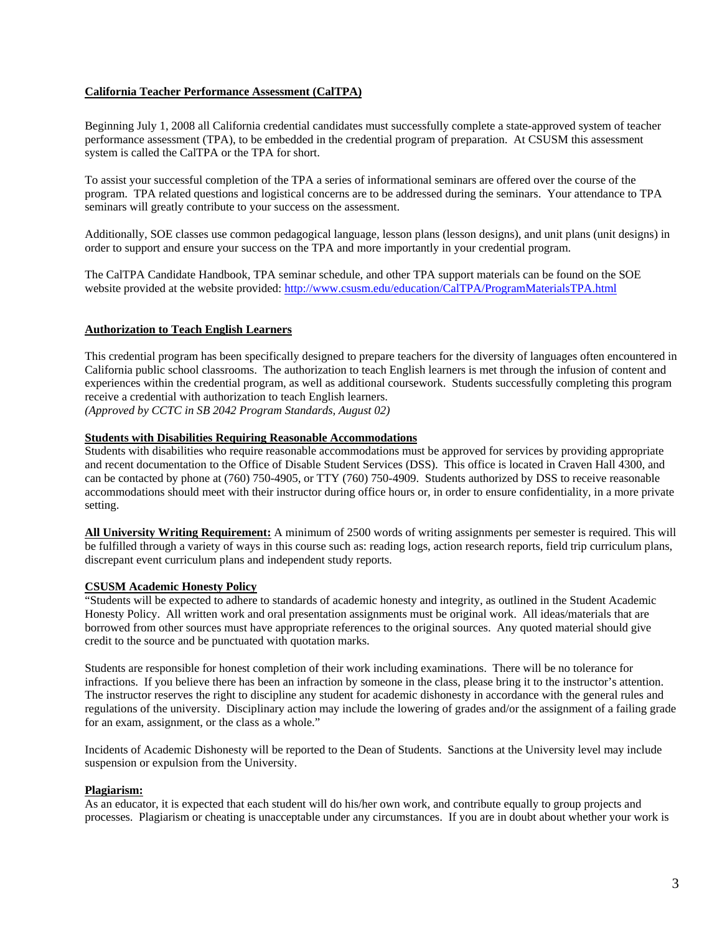# **California Teacher Performance Assessment (CalTPA)**

Beginning July 1, 2008 all California credential candidates must successfully complete a state-approved system of teacher performance assessment (TPA), to be embedded in the credential program of preparation. At CSUSM this assessment system is called the CalTPA or the TPA for short.

To assist your successful completion of the TPA a series of informational seminars are offered over the course of the program. TPA related questions and logistical concerns are to be addressed during the seminars. Your attendance to TPA seminars will greatly contribute to your success on the assessment.

Additionally, SOE classes use common pedagogical language, lesson plans (lesson designs), and unit plans (unit designs) in order to support and ensure your success on the TPA and more importantly in your credential program.

website provided at the website provided: http://www.csusm.edu/education/CalTPA/ProgramMaterialsTPA.html The CalTPA Candidate Handbook, TPA seminar schedule, and other TPA support materials can be found on the SOE

# **Authorization to Teach English Learners**

This credential program has been specifically designed to prepare teachers for the diversity of languages often encountered in California public school classrooms. The authorization to teach English learners is met through the infusion of content and experiences within the credential program, as well as additional coursework. Students successfully completing this program receive a credential with authorization to teach English learners.

 *(Approved by CCTC in SB 2042 Program Standards, August 02)* 

# **Students with Disabilities Requiring Reasonable Accommodations**

Students with disabilities who require reasonable accommodations must be approved for services by providing appropriate and recent documentation to the Office of Disable Student Services (DSS). This office is located in Craven Hall 4300, and can be contacted by phone at (760) 750-4905, or TTY (760) 750-4909. Students authorized by DSS to receive reasonable accommodations should meet with their instructor during office hours or, in order to ensure confidentiality, in a more private setting.

 **All University Writing Requirement:** A minimum of 2500 words of writing assignments per semester is required. This will be fulfilled through a variety of ways in this course such as: reading logs, action research reports, field trip curriculum plans, discrepant event curriculum plans and independent study reports.

# **CSUSM Academic Honesty Policy**

 borrowed from other sources must have appropriate references to the original sources. Any quoted material should give "Students will be expected to adhere to standards of academic honesty and integrity, as outlined in the Student Academic Honesty Policy. All written work and oral presentation assignments must be original work. All ideas/materials that are credit to the source and be punctuated with quotation marks.

Students are responsible for honest completion of their work including examinations. There will be no tolerance for infractions. If you believe there has been an infraction by someone in the class, please bring it to the instructor's attention. The instructor reserves the right to discipline any student for academic dishonesty in accordance with the general rules and regulations of the university. Disciplinary action may include the lowering of grades and/or the assignment of a failing grade for an exam, assignment, or the class as a whole."

Incidents of Academic Dishonesty will be reported to the Dean of Students. Sanctions at the University level may include suspension or expulsion from the University.

# **Plagiarism:**

 processes. Plagiarism or cheating is unacceptable under any circumstances. If you are in doubt about whether your work is As an educator, it is expected that each student will do his/her own work, and contribute equally to group projects and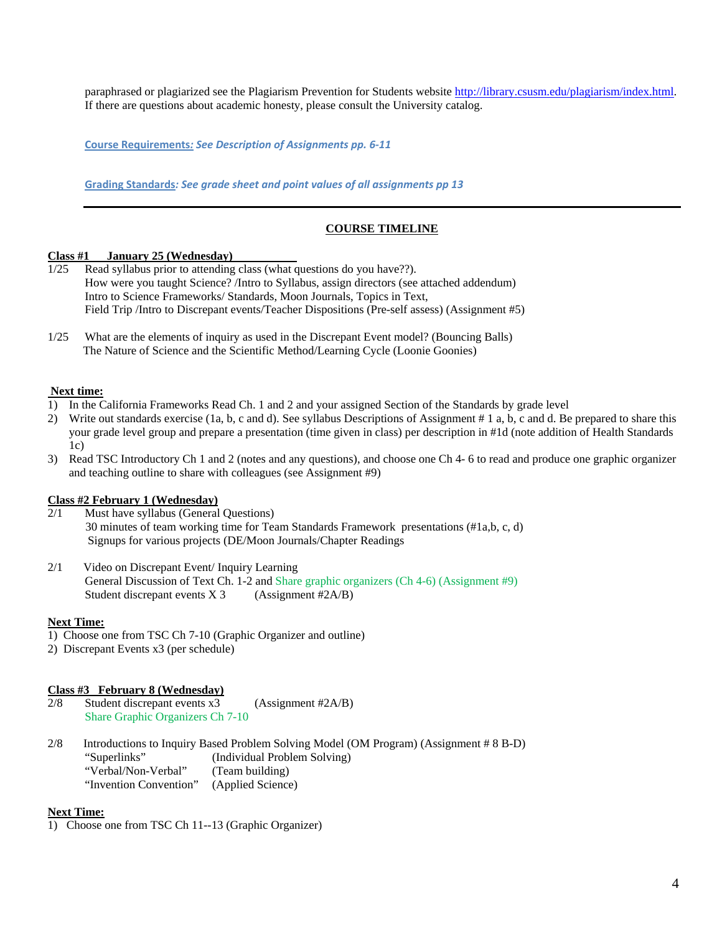paraphrased or plagiarized see the Plagiarism Prevention for Students website http://library.csusm.edu/plagiarism/index.html. If there are questions about academic honesty, please consult the University catalog.

 **Course Requirements***: See Description of Assignments pp. 6‐11*

 **Grading Standards***: See grade sheet and point values of all assignments pp 13*

# **COURSE TIMELINE**

### *Class #1* **January 25 (Wednesday)**

- Intro to Science Frameworks/ Standards, Moon Journals, Topics in Text,  $1/25$  Read syllabus prior to attending class (what questions do you have??). How were you taught Science? /Intro to Syllabus, assign directors (see attached addendum) Field Trip /Intro to Discrepant events/ Teacher Dispositions (Pre-self assess) (Assignment #5)
- 1/25 What are the elements of inquiry as used in the Discrepant Event model? (Bouncing Balls) The Nature of Science and the Scientific Method/Learning Cycle (Loonie Goonies)

# **Next time:**

- 1) In the California Frameworks Read Ch. 1 and 2 and your assigned Section of the Standards by grade level
- 2) Write out standards exercise (1a, b, c and d). See syllabus Descriptions of Assignment # 1 a, b, c and d. Be prepared to share this your grade level group and prepare a presentation (time given in class) per description in #1d (note addition of Health Standards  $1c)$
- 3) Read TSC Introductory Ch 1 and 2 (notes and any questions), and choose one Ch 4- 6 to read and produce one graphic organizer and teaching outline to share with colleagues (see Assignment #9)

# **Class #2 February 1 (Wednesday)**

- 2/1 Must have syllabus (General Questions) 30 minutes of team working time for Team Standards Framework presentations (#1a,b, c, d) Signups for various projects (DE/Moon Journals/Chapter Readings<br>2/1 Video on Discrepant Event/ Inquiry Learning
- Student discrepant events  $X$  3 (Assignment #2A/B) General Discussion of Text Ch. 1-2 and Share graphic organizers (Ch 4-6) (Assignment #9)

# **Next Time:**

- 1) Choose one from TSC Ch 7-10 (Graphic Organizer and outline)
- 2) Discrepant Events x3 (per schedule)

# **Class #3 February 8 (Wednesday)**

- $2/8$ Student discrepant events  $x3$  (Assignment #2A/B) Share Graphic Organizers Ch 7-10
- $2/8$ (Team building) 2/8 Introductions to Inquiry Based Problem Solving Model (OM Program) (Assignment # 8 B-D) "Superlinks" (Individual Problem Solving) "Verbal/Non-Verbal" "Invention Convention" (Applied Science)

# **Next Time:**

1) Choose one from TSC Ch 11--13 (Graphic Organizer)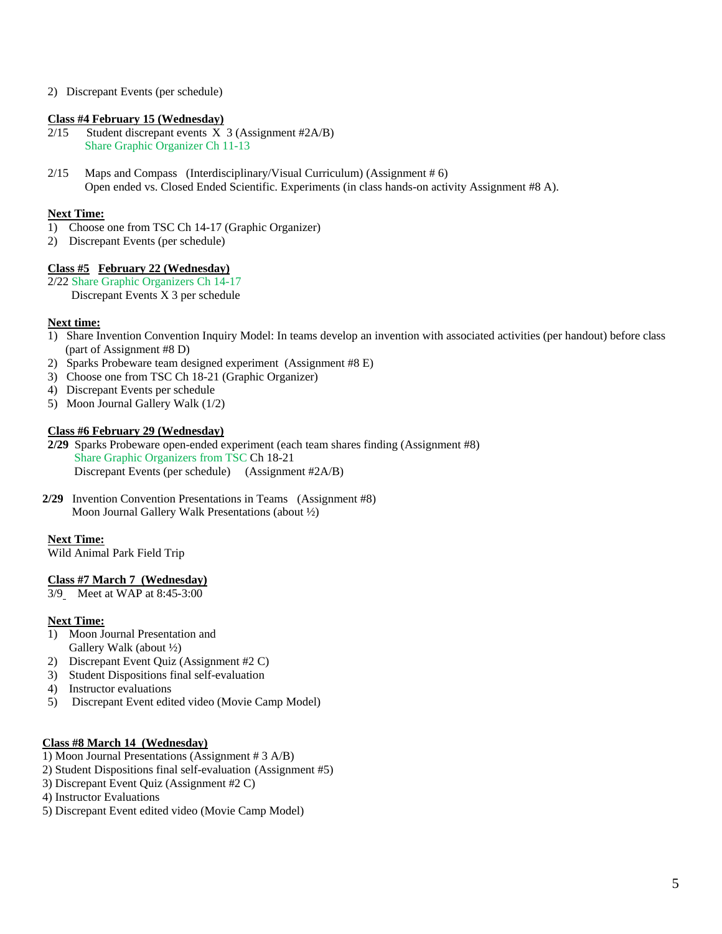2) Discrepant Events (per schedule)

# **Class #4 February 15 (Wednesday)**

- $2/15$ Student discrepant events  $X$  3 (Assignment #2A/B) Share Graphic Organizer Ch 11-13
- 2/15 Maps and Compass (Interdisciplinary/Visual Curriculum) (Assignment # 6) Open ended vs. Closed Ended Scientific. Experiments (in class hands-on activity Assignment #8 A).

# **Next Time:**

- 1) Choose one from TSC Ch 14-17 (Graphic Organizer)
- 2) Discrepant Events (per schedule)

# **Class #5 February 22 (Wednesday)**

2/22 Share Graphic Organizers Ch 14-17 Discrepant Events X 3 per schedule

# **Next time:**

- 1) Share Invention Convention Inquiry Model: In teams develop an invention with associated activities (per handout) before class (part of Assignment #8 D)
- 2) Sparks Probeware team designed experiment (Assignment #8 E)
- 3) Choose one from TSC Ch 18-21 (Graphic Organizer)
- 4) Discrepant Events per schedule
- 5) Moon Journal Gallery Walk (1/2)

# **Class #6 February 29 (Wednesday)**

- **2/29** Sparks Probeware open-ended experiment (each team shares finding (Assignment #8) Share Graphic Organizers from TSC Ch 18-21 Discrepant Events (per schedule) (Assignment #2A/B)
- **2/29** Invention Convention Presentations in Teams (Assignment #8) Moon Journal Gallery Walk Presentations (about ½)

# **Next Time:**

Wild Animal Park Field Trip

# **Class #7 March 7 (Wednesday)**

3/9 Meet at WAP at 8:45-3:00

# **Next Time:**

- Gallery Walk (about  $\frac{1}{2}$ ) 1) Moon Journal Presentation and
- 2) Discrepant Event Quiz (Assignment #2 C)
- 3) Student Dispositions final self-evaluation
- 4) Instructor evaluations
- 5) Discrepant Event edited video (Movie Camp Model)

# **Class #8 March 14 (Wednesday)**

- 1) Moon Journal Presentations (Assignment # 3 A/B)
- 2) Student Dispositions final self-evaluation (Assignment #5)
- 3) Discrepant Event Quiz (Assignment #2 C)
- 4) Instructor Evaluations
- 5) Discrepant Event edited video (Movie Camp Model)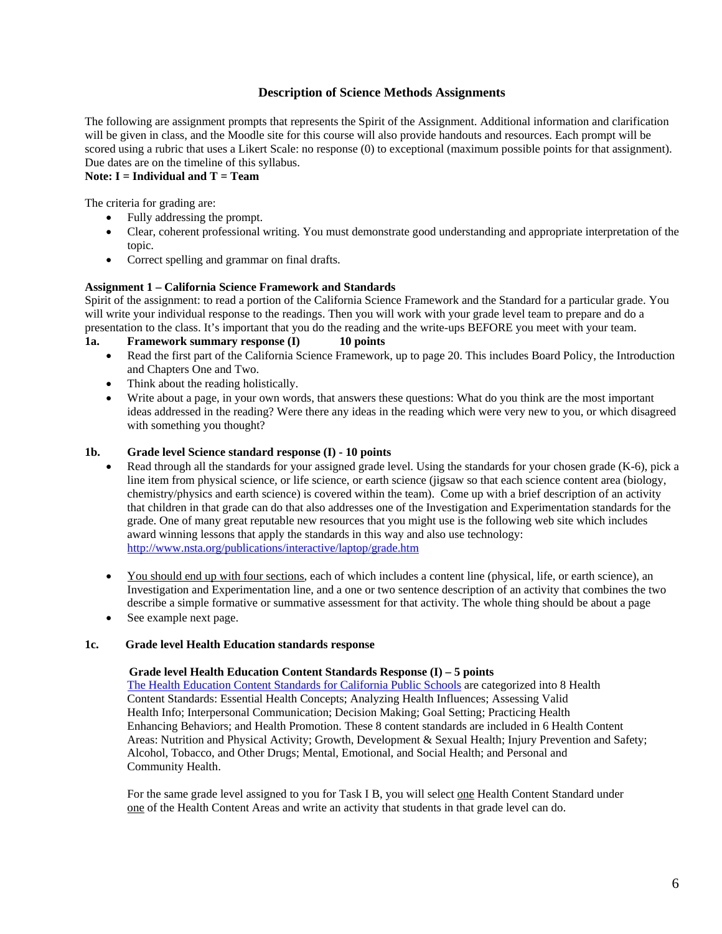# **Description of Science Methods Assignments**

The following are assignment prompts that represents the Spirit of the Assignment. Additional information and clarification will be given in class, and the Moodle site for this course will also provide handouts and resources. Each prompt will be scored using a rubric that uses a Likert Scale: no response (0) to exceptional (maximum possible points for that assignment). Due dates are on the timeline of this syllabus.

# **Note: I = Individual and T = Team**

The criteria for grading are:

- Fully addressing the prompt.
- Clear, coherent professional writing. You must demonstrate good understanding and appropriate interpretation of the topic.
- Correct spelling and grammar on final drafts.

# **Assignment 1 – California Science Framework and Standards**

 Spirit of the assignment: to read a portion of the California Science Framework and the Standard for a particular grade. You will write your individual response to the readings. Then you will work with your grade level team to prepare and do a presentation to the class. It's important that you do the reading and the write-ups BEFORE you meet with your team.

**1a. Framework summary response (I) 10 points** 

- Read the first part of the California Science Framework, up to page 20. This includes Board Policy, the Introduction and Chapters One and Two.
- Think about the reading holistically.
- Write about a page, in your own words, that answers these questions: What do you think are the most important ideas addressed in the reading? Were there any ideas in the reading which were very new to you, or which disagreed with something you thought?

# **1b. Grade level Science standard response (I) - 10 points**

- Read through all the standards for your assigned grade level. Using the standards for your chosen grade (K-6), pick a line item from physical science, or life science, or earth science (jigsaw so that each science content area (biology, chemistry/physics and earth science) is covered within the team). Come up with a brief description of an activity that children in that grade can do that also addresses one of the Investigation and Experimentation standards for the grade. One of many great reputable new resources that you might use is the following web site which includes award winning lessons that apply the standards in this way and also use technology: http://www.nsta.org/publications/interactive/laptop/grade.htm
- You should end up with four sections, each of which includes a content line (physical, life, or earth science), an Investigation and Experimentation line, and a one or two sentence description of an activity that combines the two describe a simple formative or summative assessment for that activity. The whole thing should be about a page
- See example next page.

### 1c. **1c. Grade level Health Education standards response**

# **Grade level Health Education Content Standards Response (I) – 5 points**

The Health Education Content Standards for California Public Schools are categorized into 8 Health Content Standards: Essential Health Concepts; Analyzing Health Influences; Assessing Valid Content Standards: Essential Health Concepts; Analyzing Health Influences; Assessing Valid Health Info; Interpersonal Communication; Decision Making; Goal Setting; Practicing Health Alcohol, Tobacco, and Other Drugs; Mental, Emotional, and Social Health; and Personal and Community Health. Enhancing Behaviors; and Health Promotion. These 8 content standards are included in 6 Health Content Areas: Nutrition and Physical Activity; Growth, Development & Sexual Health; Injury Prevention and Safety;

For the same grade level assigned to you for Task I B, you will select one Health Content Standard under one of the Health Content Areas and write an activity that students in that grade level can do.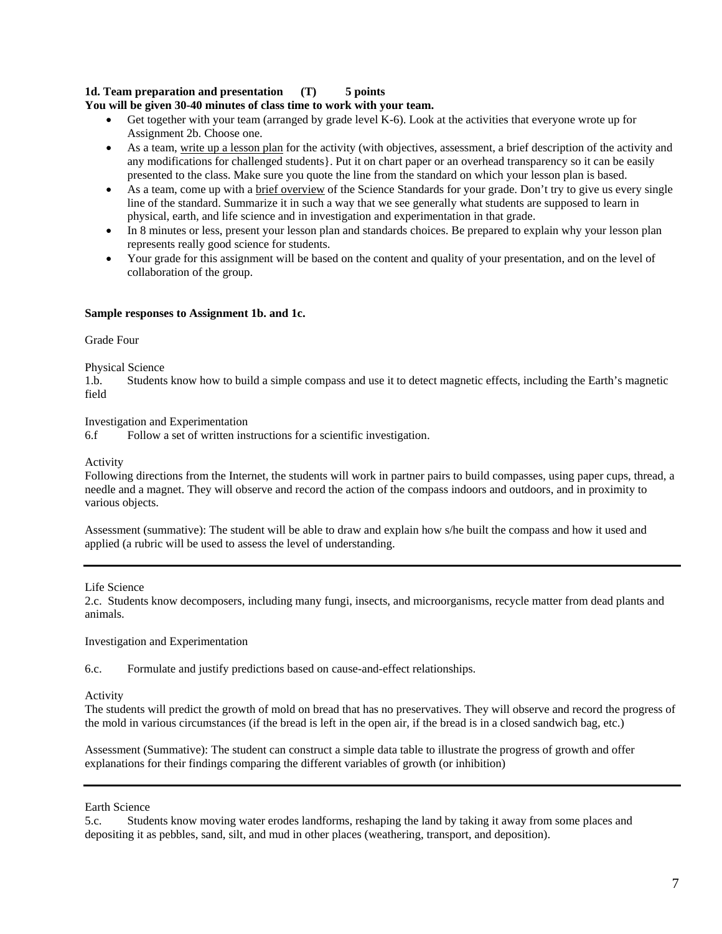# **1d. Team preparation and presentation (T) 5 points**

# **You will be given 30-40 minutes of class time to work with your team.**

- Get together with your team (arranged by grade level K-6). Look at the activities that everyone wrote up for Assignment 2b. Choose one.
- presented to the class. Make sure you quote the line from the standard on which your lesson plan is based. As a team, write up a lesson plan for the activity (with objectives, assessment, a brief description of the activity and any modifications for challenged students}. Put it on chart paper or an overhead transparency so it can be easily
- As a team, come up with a brief overview of the Science Standards for your grade. Don't try to give us every single line of the standard. Summarize it in such a way that we see generally what students are supposed to learn in physical, earth, and life science and in investigation and experimentation in that grade.
- In 8 minutes or less, present your lesson plan and standards choices. Be prepared to explain why your lesson plan represents really good science for students.
- Your grade for this assignment will be based on the content and quality of your presentation, and on the level of collaboration of the group.

# **Sample responses to Assignment 1b. and 1c.**

# Grade Four

# Physical Science

1.b. Students know how to build a simple compass and use it to detect magnetic effects, including the Earth's magnetic field

Investigation and Experimentation

6.f Follow a set of written instructions for a scientific investigation.

# Activity

 Following directions from the Internet, the students will work in partner pairs to build compasses, using paper cups, thread, a needle and a magnet. They will observe and record the action of the compass indoors and outdoors, and in proximity to various objects.

 applied (a rubric will be used to assess the level of understanding. Assessment (summative): The student will be able to draw and explain how s/he built the compass and how it used and

# Life Science

2.c. Students know decomposers, including many fungi, insects, and microorganisms, recycle matter from dead plants and animals.

# Investigation and Experimentation

6.c. Formulate and justify predictions based on cause-and-effect relationships.

# Activity

The students will predict the growth of mold on bread that has no preservatives. They will observe and record the progress of the mold in various circumstances (if the bread is left in the open air, if the bread is in a closed sandwich bag, etc.)

 explanations for their findings comparing the different variables of growth (or inhibition) Earth Science Assessment (Summative): The student can construct a simple data table to illustrate the progress of growth and offer

5.c. Students know moving water erodes landforms, reshaping the land by taking it away from some places and depositing it as pebbles, sand, silt, and mud in other places (weathering, transport, and deposition).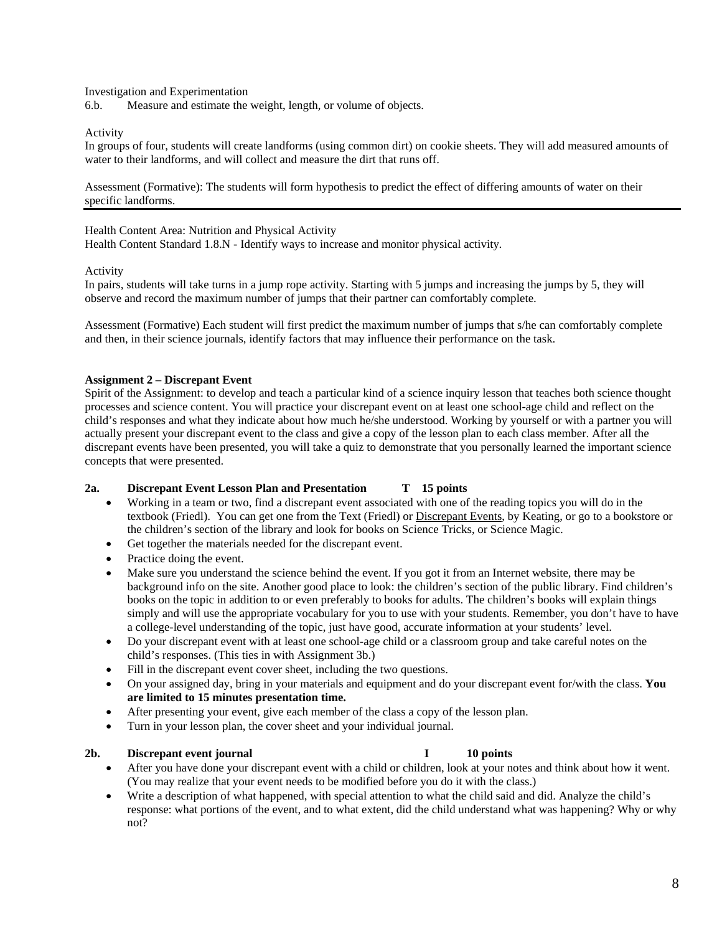Investigation and Experimentation

6.b. Measure and estimate the weight, length, or volume of objects.

Activity

In groups of four, students will create landforms (using common dirt) on cookie sheets. They will add measured amounts of water to their landforms, and will collect and measure the dirt that runs off.

Assessment (Formative): The students will form hypothesis to predict the effect of differing amounts of water on their specific landforms.

Health Content Area: Nutrition and Physical Activity

Health Content Standard 1.8.N - Identify ways to increase and monitor physical activity*.* 

Activity

In pairs, students will take turns in a jump rope activity. Starting with 5 jumps and increasing the jumps by 5, they will observe and record the maximum number of jumps that their partner can comfortably complete.

Assessment (Formative) Each student will first predict the maximum number of jumps that s/he can comfortably complete and then, in their science journals, identify factors that may influence their performance on the task.

# **Assignment 2 – Discrepant Event**

Spirit of the Assignment: to develop and teach a particular kind of a science inquiry lesson that teaches both science thought processes and science content. You will practice your discrepant event on at least one school-age child and reflect on the child's responses and what they indicate about how much he/she understood. Working by yourself or with a partner you will actually present your discrepant event to the class and give a copy of the lesson plan to each class member. After all the discrepant events have been presented, you will take a quiz to demonstrate that you personally learned the important science concepts that were presented.

# **2a. Discrepant Event Lesson Plan and Presentation T 15 points**

- Working in a team or two, find a discrepant event associated with one of the reading topics you will do in the textbook (Friedl). You can get one from the Text (Friedl) or Discrepant Events, by Keating, or go to a bookstore or the children's section of the library and look for books on Science Tricks, or Science Magic.
- Get together the materials needed for the discrepant event.
- Practice doing the event.
- Make sure you understand the science behind the event. If you got it from an Internet website, there may be simply and will use the appropriate vocabulary for you to use with your students. Remember, you don't have to have background info on the site. Another good place to look: the children's section of the public library. Find children's books on the topic in addition to or even preferably to books for adults. The children's books will explain things a college-level understanding of the topic, just have good, accurate information at your students' level.
- Do your discrepant event with at least one school-age child or a classroom group and take careful notes on the child's responses. (This ties in with Assignment 3b.)
- Fill in the discrepant event cover sheet, including the two questions.
- On your assigned day, bring in your materials and equipment and do your discrepant event for/with the class. **You are limited to 15 minutes presentation time.**
- After presenting your event, give each member of the class a copy of the lesson plan.
- Turn in your lesson plan, the cover sheet and your individual journal.

# **2b. Discrepant event journal I 10 points**

- After you have done your discrepant event with a child or children, look at your notes and think about how it went. (You may realize that your event needs to be modified before you do it with the class.)
- Write a description of what happened, with special attention to what the child said and did. Analyze the child's response: what portions of the event, and to what extent, did the child understand what was happening? Why or why not?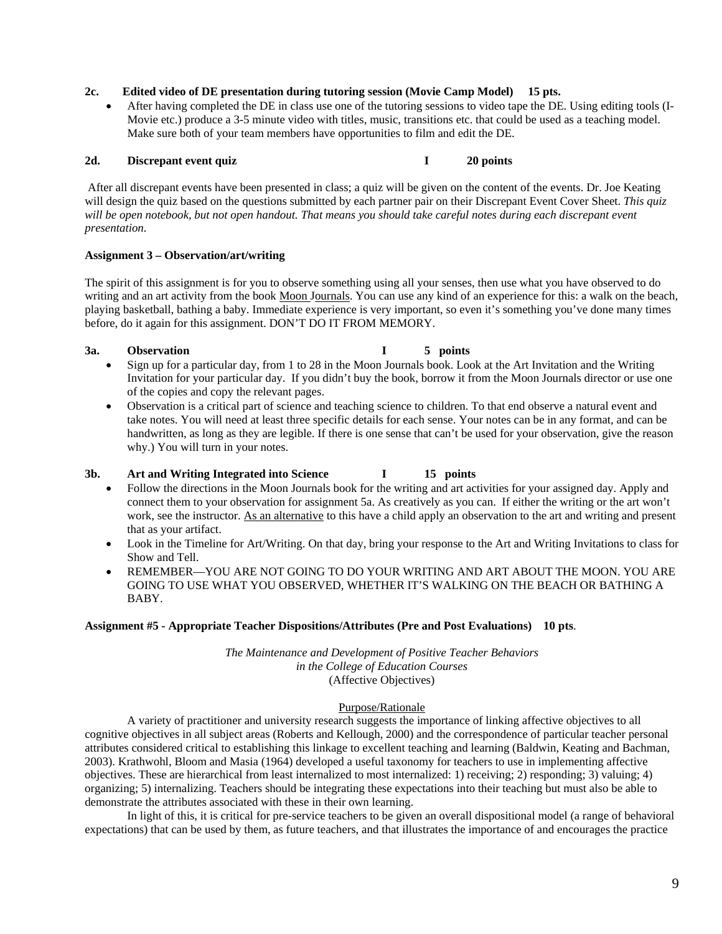### 2c. **2c. Edited video of DE presentation during tutoring session (Movie Camp Model) 15 pts.**

 After having completed the DE in class use one of the tutoring sessions to video tape the DE. Using editing tools (I-Movie etc.) produce a 3-5 minute video with titles, music, transitions etc. that could be used as a teaching model. Make sure both of your team members have opportunities to film and edit the DE.

# 2d. Discrepant event quiz **I** 20 points

 After all discrepant events have been presented in class; a quiz will be given on the content of the events. Dr. Joe Keating will design the quiz based on the questions submitted by each partner pair on their Discrepant Event Cover Sheet. *This quiz*  will be open notebook, but not open handout. That means you should take careful notes during each discrepant event *presentation.* 

# **Assignment 3 – Observation/art/writing**

 The spirit of this assignment is for you to observe something using all your senses, then use what you have observed to do writing and an art activity from the book Moon Journals. You can use any kind of an experience for this: a walk on the beach, playing basketball, bathing a baby. Immediate experience is very important, so even it's something you've done many times before, do it again for this assignment. DON'T DO IT FROM MEMORY.

### 3a. **3** Observation **I** 5 points

- Invitation for your particular day. If you didn't buy the book, borrow it from the Moon Journals director or use one of the copies and copy the relevant pages. Sign up for a particular day, from 1 to 28 in the Moon Journals book. Look at the Art Invitation and the Writing
- Observation is a critical part of science and teaching science to children. To that end observe a natural event and take notes. You will need at least three specific details for each sense. Your notes can be in any format, and can be handwritten, as long as they are legible. If there is one sense that can't be used for your observation, give the reason why.) You will turn in your notes.

# **3b. Art and Writing Integrated into Science I 15 points**

- work, see the instructor. As an alternative to this have a child apply an observation to the art and writing and present Follow the directions in the Moon Journals book for the writing and art activities for your assigned day. Apply and connect them to your observation for assignment 5a. As creatively as you can. If either the writing or the art won't that as your artifact.
- Look in the Timeline for Art/Writing. On that day, bring your response to the Art and Writing Invitations to class for Show and Tell.
- REMEMBER—YOU ARE NOT GOING TO DO YOUR WRITING AND ART ABOUT THE MOON. YOU ARE GOING TO USE WHAT YOU OBSERVED, WHETHER IT'S WALKING ON THE BEACH OR BATHING A BABY.

# **Assignment #5 - Appropriate Teacher Dispositions/Attributes (Pre and Post Evaluations) 10 pts**.

*The Maintenance and Development of Positive Teacher Behaviors in the College of Education Courses*  (Affective Objectives)

# Purpose/Rationale

A variety of practitioner and university research suggests the importance of linking affective objectives to all cognitive objectives in all subject areas (Roberts and Kellough, 2000) and the correspondence of particular teacher personal attributes considered critical to establishing this linkage to excellent teaching and learning (Baldwin, Keating and Bachman, 2003). Krathwohl, Bloom and Masia (1964) developed a useful taxonomy for teachers to use in implementing affective objectives. These are hierarchical from least internalized to most internalized: 1) receiving; 2) responding; 3) valuing; 4) organizing; 5) internalizing. Teachers should be integrating these expectations into their teaching but must also be able to demonstrate the attributes associated with these in their own learning.

 In light of this, it is critical for pre-service teachers to be given an overall dispositional model (a range of behavioral expectations) that can be used by them, as future teachers, and that illustrates the importance of and encourages the practice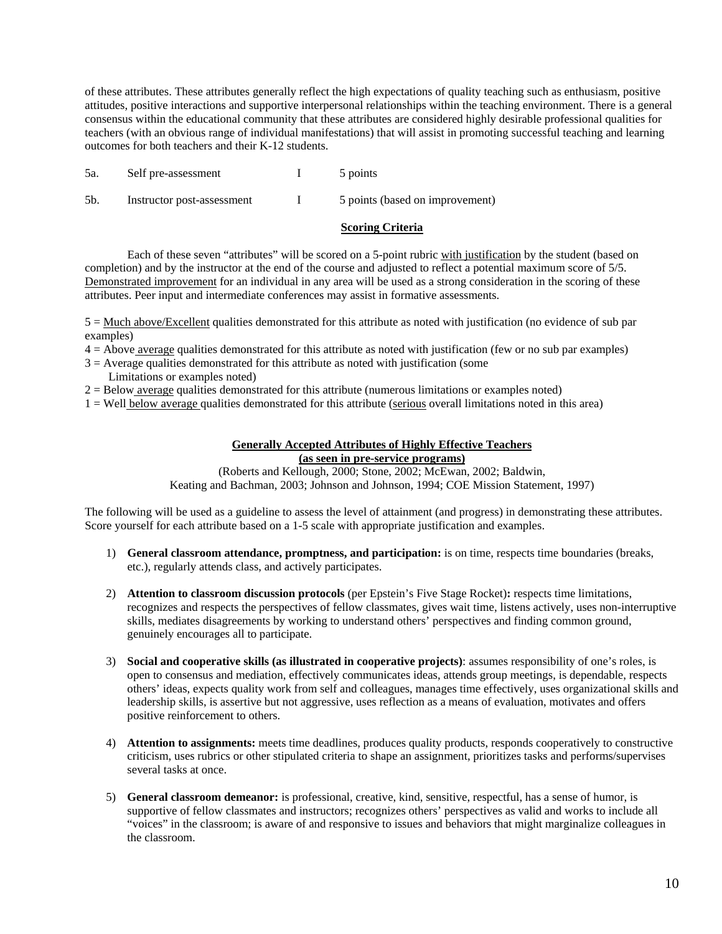of these attributes. These attributes generally reflect the high expectations of quality teaching such as enthusiasm, positive attitudes, positive interactions and supportive interpersonal relationships within the teaching environment. There is a general consensus within the educational community that these attributes are considered highly desirable professional qualities for teachers (with an obvious range of individual manifestations) that will assist in promoting successful teaching and learning

| outcomes for both teachers and their K-12 students. |                            |  |                                 |  |  |  |
|-----------------------------------------------------|----------------------------|--|---------------------------------|--|--|--|
| 5а.                                                 | Self pre-assessment        |  | 5 points                        |  |  |  |
| 5b.                                                 | Instructor post-assessment |  | 5 points (based on improvement) |  |  |  |

# **Scoring Criteria**

 completion) and by the instructor at the end of the course and adjusted to reflect a potential maximum score of 5/5. Each of these seven "attributes" will be scored on a 5-point rubric with justification by the student (based on Demonstrated improvement for an individual in any area will be used as a strong consideration in the scoring of these attributes. Peer input and intermediate conferences may assist in formative assessments.

 $5 =$  Much above/Excellent qualities demonstrated for this attribute as noted with justification (no evidence of sub par examples)

4 = Above average qualities demonstrated for this attribute as noted with justification (few or no sub par examples)

- $3 =$  Average qualities demonstrated for this attribute as noted with justification (some
- Limitations or examples noted)

2 = Below average qualities demonstrated for this attribute (numerous limitations or examples noted)

1 = Well below average qualities demonstrated for this attribute (serious overall limitations noted in this area)

# **Generally Accepted Attributes of Highly Effective Teachers (as seen in pre-service programs)**

(Roberts and Kellough, 2000; Stone, 2002; McEwan, 2002; Baldwin, Keating and Bachman, 2003; Johnson and Johnson, 1994; COE Mission Statement, 1997)

 The following will be used as a guideline to assess the level of attainment (and progress) in demonstrating these attributes. Score yourself for each attribute based on a 1-5 scale with appropriate justification and examples.

- 1) **General classroom attendance, promptness, and participation:** is on time, respects time boundaries (breaks, etc.), regularly attends class, and actively participates.
- recognizes and respects the perspectives of fellow classmates, gives wait time, listens actively, uses non-interruptive skills, mediates disagreements by working to understand others' perspectives and finding common ground, 2) **Attention to classroom discussion protocols** (per Epstein's Five Stage Rocket)**:** respects time limitations, genuinely encourages all to participate.
- 3) **Social and cooperative skills (as illustrated in cooperative projects)**: assumes responsibility of one's roles, is open to consensus and mediation, effectively communicates ideas, attends group meetings, is dependable, respects others' ideas, expects quality work from self and colleagues, manages time effectively, uses organizational skills and leadership skills, is assertive but not aggressive, uses reflection as a means of evaluation, motivates and offers positive reinforcement to others.
- 4) **Attention to assignments:** meets time deadlines, produces quality products, responds cooperatively to constructive criticism, uses rubrics or other stipulated criteria to shape an assignment, prioritizes tasks and performs/supervises several tasks at once.
- 5) General classroom demeanor: is professional, creative, kind, sensitive, respectful, has a sense of humor, is supportive of fellow classmates and instructors; recognizes others' perspectives as valid and works to include all "voices" in the classroom; is aware of and responsive to issues and behaviors that might marginalize colleagues in the classroom.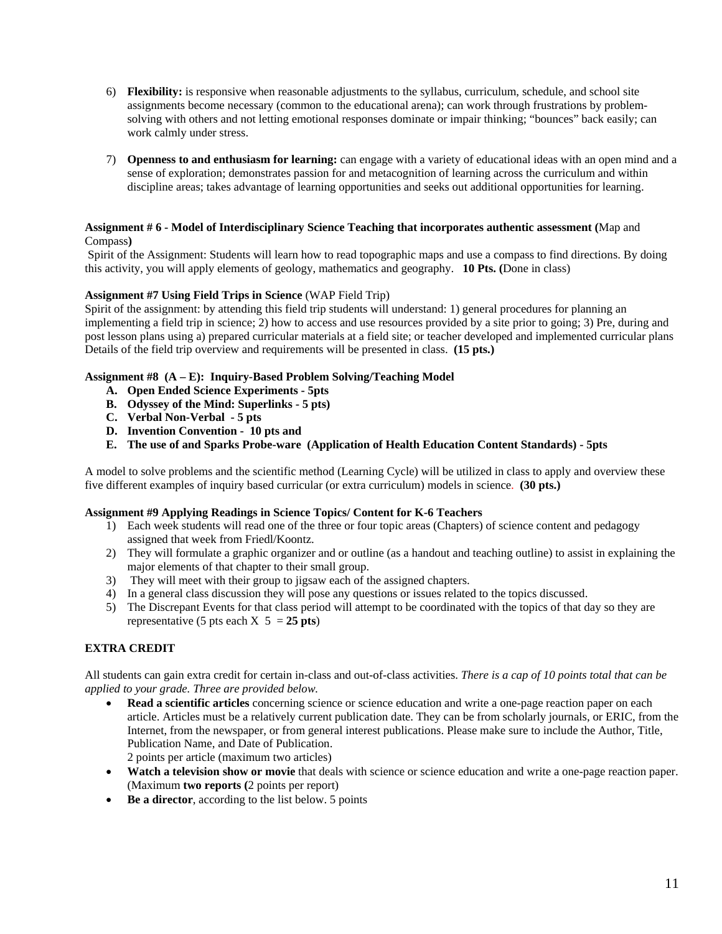- 6) **Flexibility:** is responsive when reasonable adjustments to the syllabus, curriculum, schedule, and school site work calmly under stress. assignments become necessary (common to the educational arena); can work through frustrations by problemsolving with others and not letting emotional responses dominate or impair thinking; "bounces" back easily; can
- sense of exploration; demonstrates passion for and metacognition of learning across the curriculum and within 7) **Openness to and enthusiasm for learning:** can engage with a variety of educational ideas with an open mind and a discipline areas; takes advantage of learning opportunities and seeks out additional opportunities for learning.

# Compass**) Assignment # 6 - Model of Interdisciplinary Science Teaching that incorporates authentic assessment (**Map and

 Spirit of the Assignment: Students will learn how to read topographic maps and use a compass to find directions. By doing this activity, you will apply elements of geology, mathematics and geography. **10 Pts. (**Done in class)

# **Assignment #7 Using Field Trips in Science (WAP Field Trip)**

**Assignment #7 Using Field Trips in Science** (WAP Field Trip)<br>Spirit of the assignment: by attending this field trip students will understand: 1) general procedures for planning an implementing a field trip in science; 2) how to access and use resources provided by a site prior to going; 3) Pre, during and post lesson plans using a) prepared curricular materials at a field site; or teacher developed and implemented curricular plans Details of the field trip overview and requirements will be presented in class. **(15 pts.)** 

# **Assignment #8 (A – E): Inquiry-Based Problem Solving/Teaching Model**

- **A. Open Ended Science Experiments 5pts**
- **B.** Odyssey of the Mind: Superlinks 5 pts)<br>C. Verbal Non-Verbal 5 pts<br>D. Invention Convention 10 pts and
- C. Verbal Non-Verbal 5 pts
- D. Invention Convention 10 pts and
- **E. The use of and Sparks Probe-ware (Application of Health Education Content Standards) 5pts**

A model to solve problems and the scientific method (Learning Cycle) will be utilized in class to apply and overview these five different examples of inquiry based curricular (or extra curriculum) models in science. **(30 pts.)** 

# **Assignment #9 Applying Readings in Science Topics/ Content for K-6 Teachers**

- 1) Each week students will read one of the three or four topic areas (Chapters) of science content and pedagogy assigned that week from Friedl/Koontz.
- 2) They will formulate a graphic organizer and or outline (as a handout and teaching outline) to assist in explaining the major elements of that chapter to their small group.
- 3) They will meet with their group to jigsaw each of the assigned chapters.
- 4) In a general class discussion they will pose any questions or issues related to the topics discussed.
- representative (5 pts each  $X$  5 = 25 pts) 5) The Discrepant Events for that class period will attempt to be coordinated with the topics of that day so they are

# **EXTRA CREDIT**

 All students can gain extra credit for certain in-class and out-of-class activities. *There is a cap of 10 points total that can be applied to your grade. Three are provided below.* 

Publication Name, and Date of Publication. **Read a scientific articles** concerning science or science education and write a one-page reaction paper on each article. Articles must be a relatively current publication date. They can be from scholarly journals, or ERIC, from the Internet, from the newspaper, or from general interest publications. Please make sure to include the Author, Title,

2 points per article (maximum two articles).

- **Watch a television show or movie** that deals with science or science education and write a one-page reaction paper. (Maximum **two reports (**2 points per report)
- **Be a director**, according to the list below. 5 points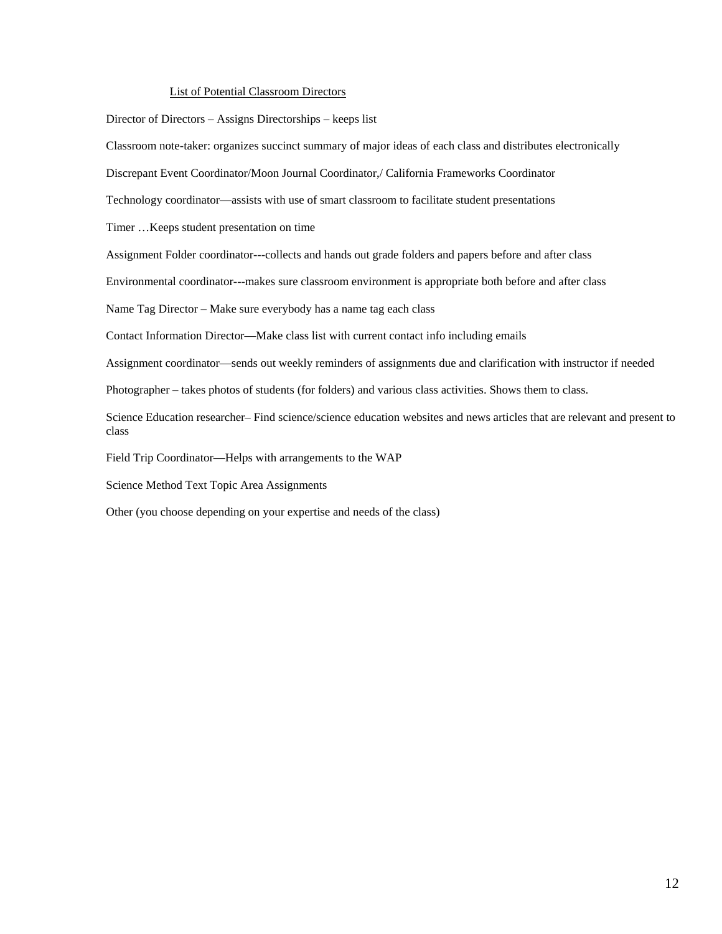# List of Potential Classroom Directors

Director of Directors – Assigns Directorships – keeps list

Classroom note-taker: organizes succinct summary of major ideas of each class and distributes electronically

Discrepant Event Coordinator/Moon Journal Coordinator,/ California Frameworks Coordinator

Technology coordinator—assists with use of smart classroom to facilitate student presentations

Timer …Keeps student presentation on time

Assignment Folder coordinator---collects and hands out grade folders and papers before and after class

Environmental coordinator---makes sure classroom environment is appropriate both before and after class

Name Tag Director – Make sure everybody has a name tag each class

Contact Information Director—Make class list with current contact info including emails

Assignment coordinator—sends out weekly reminders of assignments due and clarification with instructor if needed

Photographer – takes photos of students (for folders) and various class activities. Shows them to class.

Science Education researcher– Find science/science education websites and news articles that are relevant and present to class

Field Trip Coordinator—Helps with arrangements to the WAP

Science Method Text Topic Area Assignments

Other (you choose depending on your expertise and needs of the class)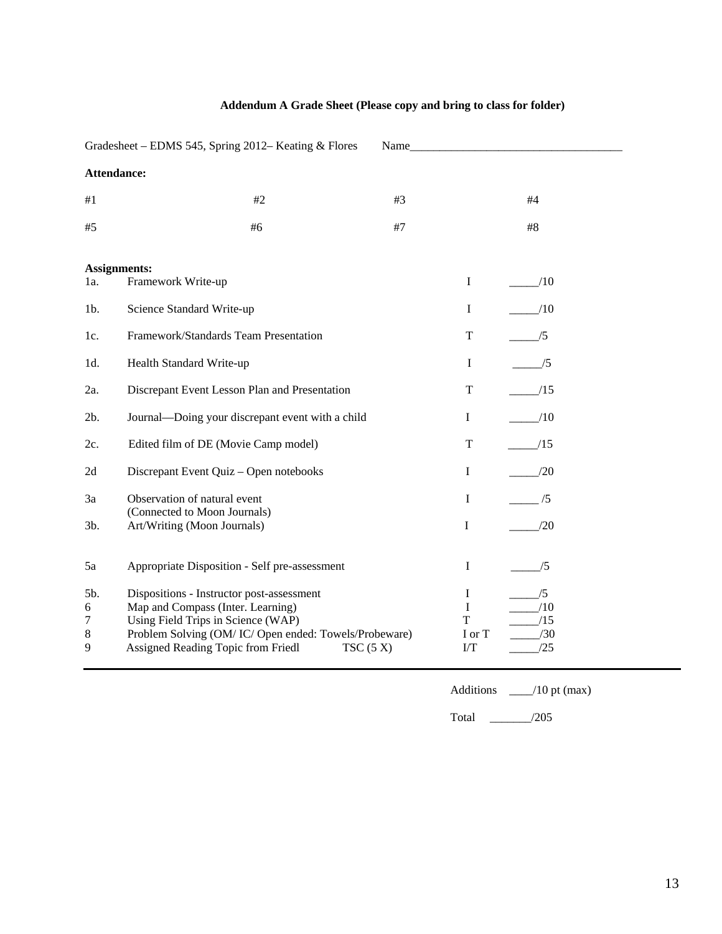|                         | Gradesheet - EDMS 545, Spring 2012- Keating & Flores                                                                                                                                                               | Name     |                                        |                                |  |  |  |
|-------------------------|--------------------------------------------------------------------------------------------------------------------------------------------------------------------------------------------------------------------|----------|----------------------------------------|--------------------------------|--|--|--|
| Attendance:             |                                                                                                                                                                                                                    |          |                                        |                                |  |  |  |
| #1                      | #2                                                                                                                                                                                                                 | #3       |                                        | #4                             |  |  |  |
| #5                      | #6                                                                                                                                                                                                                 | #7       |                                        | #8                             |  |  |  |
| <b>Assignments:</b>     |                                                                                                                                                                                                                    |          |                                        |                                |  |  |  |
| 1a.                     | Framework Write-up                                                                                                                                                                                                 |          | $\mathbf I$                            | /10                            |  |  |  |
| $1b$ .                  | Science Standard Write-up                                                                                                                                                                                          |          | $\mathbf I$                            | /10                            |  |  |  |
| 1c.                     | Framework/Standards Team Presentation                                                                                                                                                                              |          | T                                      | /5                             |  |  |  |
| 1d.                     | Health Standard Write-up                                                                                                                                                                                           |          | $\mathbf I$                            | _/5                            |  |  |  |
| 2a.                     | Discrepant Event Lesson Plan and Presentation                                                                                                                                                                      |          | T                                      | /15                            |  |  |  |
| 2b.                     | Journal-Doing your discrepant event with a child                                                                                                                                                                   |          | I                                      | /10                            |  |  |  |
| 2c.                     | Edited film of DE (Movie Camp model)                                                                                                                                                                               |          | T                                      | /15                            |  |  |  |
| 2d                      | Discrepant Event Quiz - Open notebooks                                                                                                                                                                             |          | $\mathbf I$                            | /20                            |  |  |  |
| 3a                      | Observation of natural event                                                                                                                                                                                       |          | $\mathbf I$                            | /5                             |  |  |  |
| 3b.                     | (Connected to Moon Journals)<br>Art/Writing (Moon Journals)                                                                                                                                                        |          | I                                      | /20                            |  |  |  |
| 5a                      | Appropriate Disposition - Self pre-assessment                                                                                                                                                                      |          | Ι                                      | /5                             |  |  |  |
| 5b.<br>6<br>7<br>8<br>9 | Dispositions - Instructor post-assessment<br>Map and Compass (Inter. Learning)<br>Using Field Trips in Science (WAP)<br>Problem Solving (OM/IC/Open ended: Towels/Probeware)<br>Assigned Reading Topic from Friedl | TSC(5 X) | I<br>$\mathbf I$<br>T<br>I or T<br>I/T | /5<br>/10<br>/15<br>/30<br>/25 |  |  |  |

# **Addendum A Grade Sheet (Please copy and bring to class for folder)**

Additions \_\_\_\_/10 pt (max)

Total \_\_\_\_\_\_\_/205